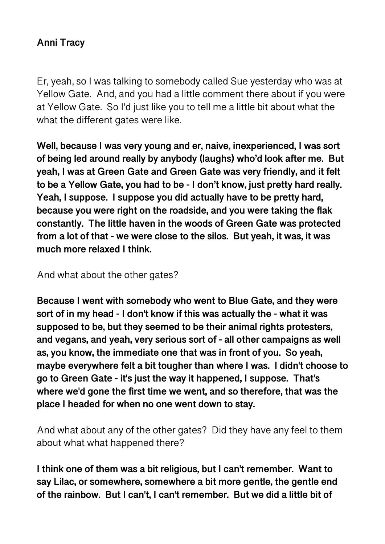## **Anni Tracy**

Er, yeah, so I was talking to somebody called Sue yesterday who was at Yellow Gate. And, and you had a little comment there about if you were at Yellow Gate. So I'd just like you to tell me a little bit about what the what the different gates were like.

**Well, because I was very young and er, naive, inexperienced, I was sort of being led around really by anybody (laughs) who'd look after me. But yeah, I was at Green Gate and Green Gate was very friendly, and it felt to be a Yellow Gate, you had to be - I don't know, just pretty hard really. Yeah, I suppose. I suppose you did actually have to be pretty hard, because you were right on the roadside, and you were taking the flak constantly. The little haven in the woods of Green Gate was protected from a lot of that - we were close to the silos. But yeah, it was, it was much more relaxed I think.** 

And what about the other gates?

**Because I went with somebody who went to Blue Gate, and they were sort of in my head - I don't know if this was actually the - what it was supposed to be, but they seemed to be their animal rights protesters, and vegans, and yeah, very serious sort of - all other campaigns as well as, you know, the immediate one that was in front of you. So yeah, maybe everywhere felt a bit tougher than where I was. I didn't choose to go to Green Gate - it's just the way it happened, I suppose. That's where we'd gone the first time we went, and so therefore, that was the place I headed for when no one went down to stay.** 

And what about any of the other gates? Did they have any feel to them about what what happened there?

**I think one of them was a bit religious, but I can't remember. Want to say Lilac, or somewhere, somewhere a bit more gentle, the gentle end of the rainbow. But I can't, I can't remember. But we did a little bit of**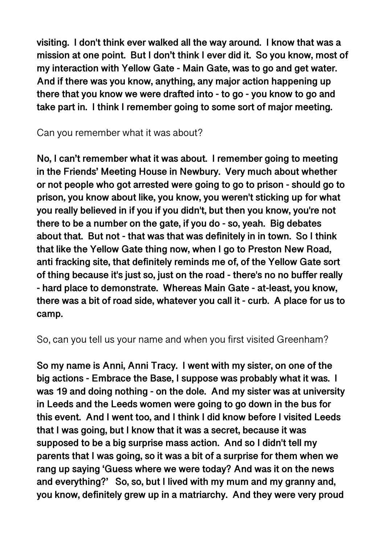**visiting. I don't think ever walked all the way around. I know that was a mission at one point. But I don't think I ever did it. So you know, most of my interaction with Yellow Gate - Main Gate, was to go and get water. And if there was you know, anything, any major action happening up there that you know we were drafted into - to go - you know to go and take part in. I think I remember going to some sort of major meeting.** 

Can you remember what it was about?

**No, I can't remember what it was about. I remember going to meeting in the Friends' Meeting House in Newbury. Very much about whether or not people who got arrested were going to go to prison - should go to prison, you know about like, you know, you weren't sticking up for what you really believed in if you if you didn't, but then you know, you're not there to be a number on the gate, if you do - so, yeah. Big debates about that. But not - that was that was definitely in in town. So I think that like the Yellow Gate thing now, when I go to Preston New Road, anti fracking site, that definitely reminds me of, of the Yellow Gate sort of thing because it's just so, just on the road - there's no no buffer really - hard place to demonstrate. Whereas Main Gate - at-least, you know, there was a bit of road side, whatever you call it - curb. A place for us to camp.** 

So, can you tell us your name and when you first visited Greenham?

**So my name is Anni, Anni Tracy. I went with my sister, on one of the big actions - Embrace the Base, I suppose was probably what it was. I was 19 and doing nothing - on the dole. And my sister was at university in Leeds and the Leeds women were going to go down in the bus for this event. And I went too, and I think I did know before I visited Leeds that I was going, but I know that it was a secret, because it was supposed to be a big surprise mass action. And so I didn't tell my parents that I was going, so it was a bit of a surprise for them when we rang up saying 'Guess where we were today? And was it on the news and everything?' So, so, but I lived with my mum and my granny and, you know, definitely grew up in a matriarchy. And they were very proud**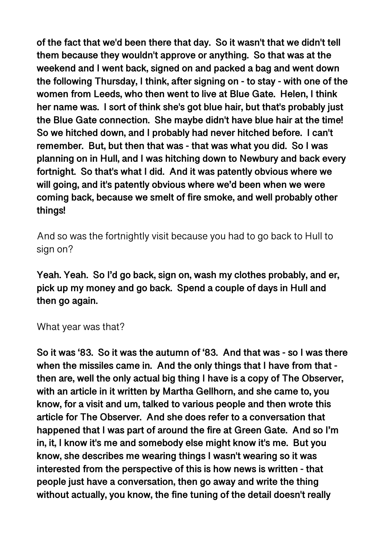**of the fact that we'd been there that day. So it wasn't that we didn't tell them because they wouldn't approve or anything. So that was at the weekend and I went back, signed on and packed a bag and went down the following Thursday, I think, after signing on - to stay - with one of the women from Leeds, who then went to live at Blue Gate. Helen, I think her name was. I sort of think she's got blue hair, but that's probably just the Blue Gate connection. She maybe didn't have blue hair at the time! So we hitched down, and I probably had never hitched before. I can't remember. But, but then that was - that was what you did. So I was planning on in Hull, and I was hitching down to Newbury and back every fortnight. So that's what I did. And it was patently obvious where we will going, and it's patently obvious where we'd been when we were coming back, because we smelt of fire smoke, and well probably other things!** 

And so was the fortnightly visit because you had to go back to Hull to sign on?

**Yeah. Yeah. So I'd go back, sign on, wash my clothes probably, and er, pick up my money and go back. Spend a couple of days in Hull and then go again.** 

#### What year was that?

**So it was '83. So it was the autumn of '83. And that was - so I was there when the missiles came in. And the only things that I have from that then are, well the only actual big thing I have is a copy of The Observer, with an article in it written by Martha Gellhorn, and she came to, you know, for a visit and um, talked to various people and then wrote this article for The Observer. And she does refer to a conversation that happened that I was part of around the fire at Green Gate. And so I'm in, it, I know it's me and somebody else might know it's me. But you know, she describes me wearing things I wasn't wearing so it was interested from the perspective of this is how news is written - that people just have a conversation, then go away and write the thing without actually, you know, the fine tuning of the detail doesn't really**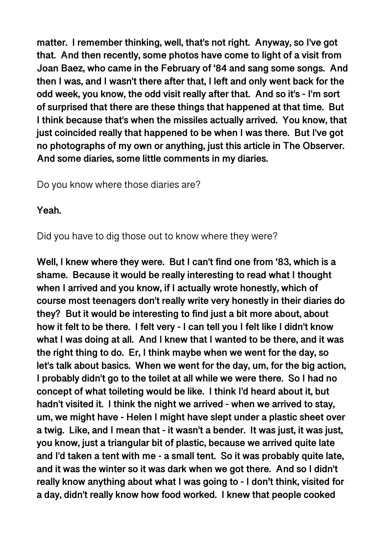**matter. I remember thinking, well, that's not right. Anyway, so I've got that. And then recently, some photos have come to light of a visit from Joan Baez, who came in the February of '84 and sang some songs. And then I was, and I wasn't there after that, I left and only went back for the odd week, you know, the odd visit really after that. And so it's - I'm sort of surprised that there are these things that happened at that time. But I think because that's when the missiles actually arrived. You know, that just coincided really that happened to be when I was there. But I've got no photographs of my own or anything, just this article in The Observer. And some diaries, some little comments in my diaries.** 

Do you know where those diaries are?

#### **Yeah.**

Did you have to dig those out to know where they were?

**Well, I knew where they were. But I can't find one from '83, which is a shame. Because it would be really interesting to read what I thought when I arrived and you know, if I actually wrote honestly, which of course most teenagers don't really write very honestly in their diaries do they? But it would be interesting to find just a bit more about, about how it felt to be there. I felt very - I can tell you I felt like I didn't know what I was doing at all. And I knew that I wanted to be there, and it was the right thing to do. Er, I think maybe when we went for the day, so let's talk about basics. When we went for the day, um, for the big action, I probably didn't go to the toilet at all while we were there. So I had no concept of what toileting would be like. I think I'd heard about it, but hadn't visited it. I think the night we arrived - when we arrived to stay, um, we might have - Helen I might have slept under a plastic sheet over a twig. Like, and I mean that - it wasn't a bender. It was just, it was just, you know, just a triangular bit of plastic, because we arrived quite late and I'd taken a tent with me - a small tent. So it was probably quite late, and it was the winter so it was dark when we got there. And so I didn't really know anything about what I was going to - I don't think, visited for a day, didn't really know how food worked. I knew that people cooked**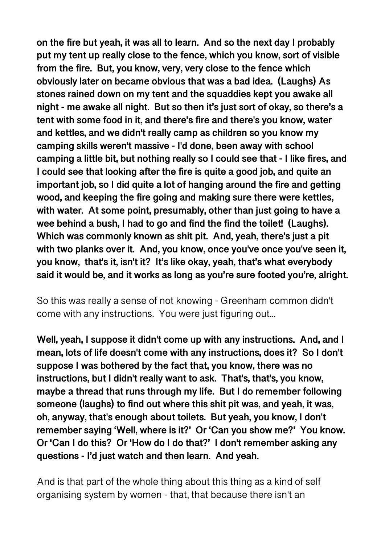**on the fire but yeah, it was all to learn. And so the next day I probably put my tent up really close to the fence, which you know, sort of visible from the fire. But, you know, very, very close to the fence which obviously later on became obvious that was a bad idea. (Laughs) As stones rained down on my tent and the squaddies kept you awake all night - me awake all night. But so then it's just sort of okay, so there's a tent with some food in it, and there's fire and there's you know, water and kettles, and we didn't really camp as children so you know my camping skills weren't massive - I'd done, been away with school camping a little bit, but nothing really so I could see that - I like fires, and I could see that looking after the fire is quite a good job, and quite an important job, so I did quite a lot of hanging around the fire and getting wood, and keeping the fire going and making sure there were kettles, with water. At some point, presumably, other than just going to have a wee behind a bush, I had to go and find the find the toilet! (Laughs). Which was commonly known as shit pit. And, yeah, there's just a pit with two planks over it. And, you know, once you've once you've seen it, you know, that's it, isn't it? It's like okay, yeah, that's what everybody said it would be, and it works as long as you're sure footed you're, alright.** 

So this was really a sense of not knowing - Greenham common didn't come with any instructions. You were just figuring out...

**Well, yeah, I suppose it didn't come up with any instructions. And, and I mean, lots of life doesn't come with any instructions, does it? So I don't suppose I was bothered by the fact that, you know, there was no instructions, but I didn't really want to ask. That's, that's, you know, maybe a thread that runs through my life. But I do remember following someone (laughs) to find out where this shit pit was, and yeah, it was, oh, anyway, that's enough about toilets. But yeah, you know, I don't remember saying 'Well, where is it?' Or 'Can you show me?' You know. Or 'Can I do this? Or 'How do I do that?' I don't remember asking any questions - I'd just watch and then learn. And yeah.** 

And is that part of the whole thing about this thing as a kind of self organising system by women - that, that because there isn't an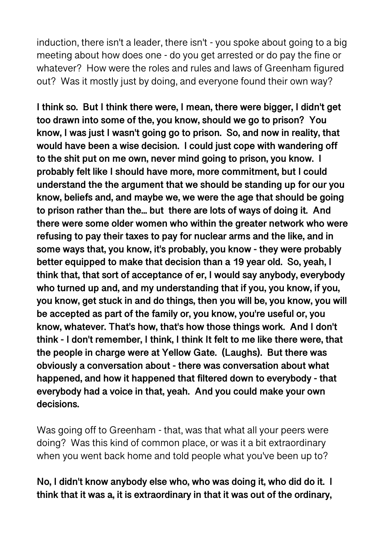induction, there isn't a leader, there isn't - you spoke about going to a big meeting about how does one - do you get arrested or do pay the fine or whatever? How were the roles and rules and laws of Greenham figured out? Was it mostly just by doing, and everyone found their own way?

**I think so. But I think there were, I mean, there were bigger, I didn't get too drawn into some of the, you know, should we go to prison? You know, I was just I wasn't going go to prison. So, and now in reality, that would have been a wise decision. I could just cope with wandering off to the shit put on me own, never mind going to prison, you know. I probably felt like I should have more, more commitment, but I could understand the the argument that we should be standing up for our you know, beliefs and, and maybe we, we were the age that should be going to prison rather than the... but there are lots of ways of doing it. And there were some older women who within the greater network who were refusing to pay their taxes to pay for nuclear arms and the like, and in some ways that, you know, it's probably, you know - they were probably better equipped to make that decision than a 19 year old. So, yeah, I think that, that sort of acceptance of er, I would say anybody, everybody who turned up and, and my understanding that if you, you know, if you, you know, get stuck in and do things, then you will be, you know, you will be accepted as part of the family or, you know, you're useful or, you know, whatever. That's how, that's how those things work. And I don't think - I don't remember, I think, I think It felt to me like there were, that the people in charge were at Yellow Gate. (Laughs). But there was obviously a conversation about - there was conversation about what happened, and how it happened that filtered down to everybody - that everybody had a voice in that, yeah. And you could make your own decisions.** 

Was going off to Greenham - that, was that what all your peers were doing? Was this kind of common place, or was it a bit extraordinary when you went back home and told people what you've been up to?

## **No, I didn't know anybody else who, who was doing it, who did do it. I think that it was a, it is extraordinary in that it was out of the ordinary,**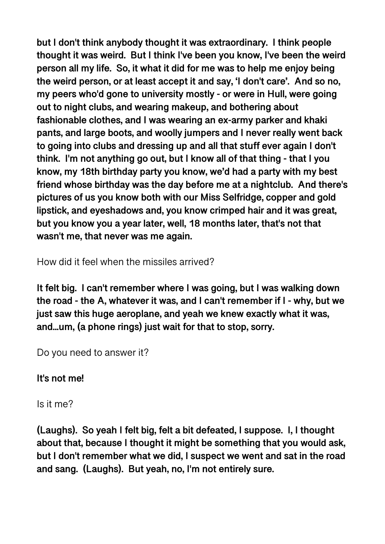**but I don't think anybody thought it was extraordinary. I think people thought it was weird. But I think I've been you know, I've been the weird person all my life. So, it what it did for me was to help me enjoy being the weird person, or at least accept it and say, 'I don't care'. And so no, my peers who'd gone to university mostly - or were in Hull, were going out to night clubs, and wearing makeup, and bothering about fashionable clothes, and I was wearing an ex-army parker and khaki pants, and large boots, and woolly jumpers and I never really went back to going into clubs and dressing up and all that stuff ever again I don't think. I'm not anything go out, but I know all of that thing - that I you know, my 18th birthday party you know, we'd had a party with my best friend whose birthday was the day before me at a nightclub. And there's pictures of us you know both with our Miss Selfridge, copper and gold lipstick, and eyeshadows and, you know crimped hair and it was great, but you know you a year later, well, 18 months later, that's not that wasn't me, that never was me again.** 

How did it feel when the missiles arrived?

**It felt big. I can't remember where I was going, but I was walking down the road - the A, whatever it was, and I can't remember if I - why, but we just saw this huge aeroplane, and yeah we knew exactly what it was, and...um, (a phone rings) just wait for that to stop, sorry.** 

Do you need to answer it?

**It's not me!** 

Is it me?

**(Laughs). So yeah I felt big, felt a bit defeated, I suppose. I, I thought about that, because I thought it might be something that you would ask, but I don't remember what we did, I suspect we went and sat in the road and sang. (Laughs). But yeah, no, I'm not entirely sure.**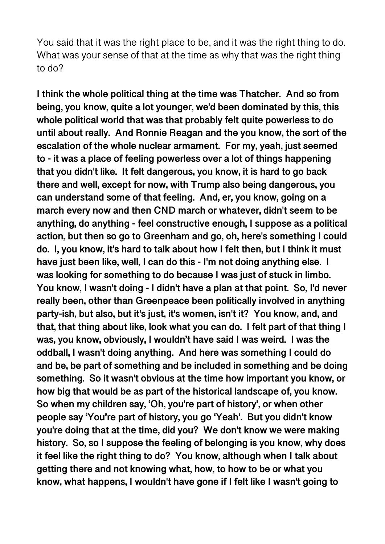You said that it was the right place to be, and it was the right thing to do. What was your sense of that at the time as why that was the right thing to do?

**I think the whole political thing at the time was Thatcher. And so from being, you know, quite a lot younger, we'd been dominated by this, this whole political world that was that probably felt quite powerless to do until about really. And Ronnie Reagan and the you know, the sort of the escalation of the whole nuclear armament. For my, yeah, just seemed to - it was a place of feeling powerless over a lot of things happening that you didn't like. It felt dangerous, you know, it is hard to go back there and well, except for now, with Trump also being dangerous, you can understand some of that feeling. And, er, you know, going on a march every now and then CND march or whatever, didn't seem to be anything, do anything - feel constructive enough, I suppose as a political action, but then so go to Greenham and go, oh, here's something I could do. I, you know, it's hard to talk about how I felt then, but I think it must have just been like, well, I can do this - I'm not doing anything else. I was looking for something to do because I was just of stuck in limbo. You know, I wasn't doing - I didn't have a plan at that point. So, I'd never really been, other than Greenpeace been politically involved in anything party-ish, but also, but it's just, it's women, isn't it? You know, and, and that, that thing about like, look what you can do. I felt part of that thing I was, you know, obviously, I wouldn't have said I was weird. I was the oddball, I wasn't doing anything. And here was something I could do and be, be part of something and be included in something and be doing something. So it wasn't obvious at the time how important you know, or how big that would be as part of the historical landscape of, you know. So when my children say, 'Oh, you're part of history', or when other people say 'You're part of history, you go 'Yeah'. But you didn't know you're doing that at the time, did you? We don't know we were making history. So, so I suppose the feeling of belonging is you know, why does it feel like the right thing to do? You know, although when I talk about getting there and not knowing what, how, to how to be or what you know, what happens, I wouldn't have gone if I felt like I wasn't going to**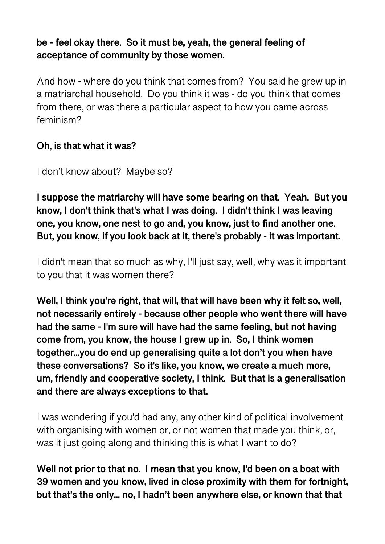# **be - feel okay there. So it must be, yeah, the general feeling of acceptance of community by those women.**

And how - where do you think that comes from? You said he grew up in a matriarchal household. Do you think it was - do you think that comes from there, or was there a particular aspect to how you came across feminism?

## **Oh, is that what it was?**

I don't know about? Maybe so?

**I suppose the matriarchy will have some bearing on that. Yeah. But you know, I don't think that's what I was doing. I didn't think I was leaving one, you know, one nest to go and, you know, just to find another one. But, you know, if you look back at it, there's probably - it was important.** 

I didn't mean that so much as why, I'll just say, well, why was it important to you that it was women there?

**Well, I think you're right, that will, that will have been why it felt so, well, not necessarily entirely - because other people who went there will have had the same - I'm sure will have had the same feeling, but not having come from, you know, the house I grew up in. So, I think women together...you do end up generalising quite a lot don't you when have these conversations? So it's like, you know, we create a much more, um, friendly and cooperative society, I think. But that is a generalisation and there are always exceptions to that.** 

I was wondering if you'd had any, any other kind of political involvement with organising with women or, or not women that made you think, or, was it just going along and thinking this is what I want to do?

**Well not prior to that no. I mean that you know, I'd been on a boat with 39 women and you know, lived in close proximity with them for fortnight, but that's the only... no, I hadn't been anywhere else, or known that that**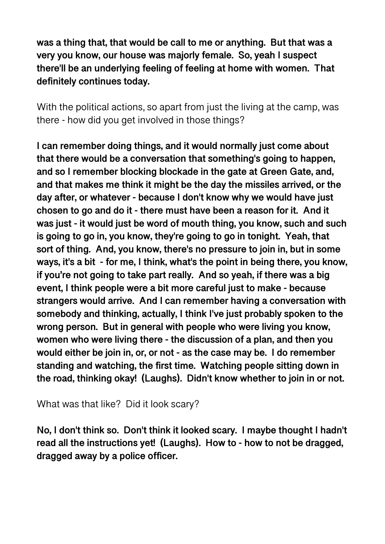**was a thing that, that would be call to me or anything. But that was a very you know, our house was majorly female. So, yeah I suspect there'll be an underlying feeling of feeling at home with women. That definitely continues today.** 

With the political actions, so apart from just the living at the camp, was there - how did you get involved in those things?

**I can remember doing things, and it would normally just come about that there would be a conversation that something's going to happen, and so I remember blocking blockade in the gate at Green Gate, and, and that makes me think it might be the day the missiles arrived, or the day after, or whatever - because I don't know why we would have just chosen to go and do it - there must have been a reason for it. And it was just - it would just be word of mouth thing, you know, such and such is going to go in, you know, they're going to go in tonight. Yeah, that sort of thing. And, you know, there's no pressure to join in, but in some ways, it's a bit - for me, I think, what's the point in being there, you know, if you're not going to take part really. And so yeah, if there was a big event, I think people were a bit more careful just to make - because strangers would arrive. And I can remember having a conversation with somebody and thinking, actually, I think I've just probably spoken to the wrong person. But in general with people who were living you know, women who were living there - the discussion of a plan, and then you would either be join in, or, or not - as the case may be. I do remember standing and watching, the first time. Watching people sitting down in the road, thinking okay! (Laughs). Didn't know whether to join in or not.** 

What was that like? Did it look scary?

**No, I don't think so. Don't think it looked scary. I maybe thought I hadn't read all the instructions yet! (Laughs). How to - how to not be dragged, dragged away by a police officer.**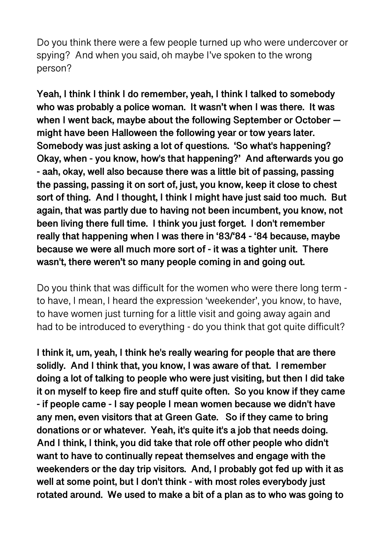Do you think there were a few people turned up who were undercover or spying? And when you said, oh maybe I've spoken to the wrong person?

**Yeah, I think I think I do remember, yeah, I think I talked to somebody who was probably a police woman. It wasn't when I was there. It was when I went back, maybe about the following September or October might have been Halloween the following year or tow years later. Somebody was just asking a lot of questions. 'So what's happening? Okay, when - you know, how's that happening?' And afterwards you go - aah, okay, well also because there was a little bit of passing, passing the passing, passing it on sort of, just, you know, keep it close to chest sort of thing. And I thought, I think I might have just said too much. But again, that was partly due to having not been incumbent, you know, not been living there full time. I think you just forget. I don't remember really that happening when I was there in '83/'84 - '84 because, maybe because we were all much more sort of - it was a tighter unit. There wasn't, there weren't so many people coming in and going out.** 

Do you think that was difficult for the women who were there long term to have, I mean, I heard the expression 'weekender', you know, to have, to have women just turning for a little visit and going away again and had to be introduced to everything - do you think that got quite difficult?

**I think it, um, yeah, I think he's really wearing for people that are there solidly. And I think that, you know, I was aware of that. I remember doing a lot of talking to people who were just visiting, but then I did take it on myself to keep fire and stuff quite often. So you know if they came - if people came - I say people I mean women because we didn't have any men, even visitors that at Green Gate. So if they came to bring donations or or whatever. Yeah, it's quite it's a job that needs doing. And I think, I think, you did take that role off other people who didn't want to have to continually repeat themselves and engage with the weekenders or the day trip visitors. And, I probably got fed up with it as well at some point, but I don't think - with most roles everybody just rotated around. We used to make a bit of a plan as to who was going to**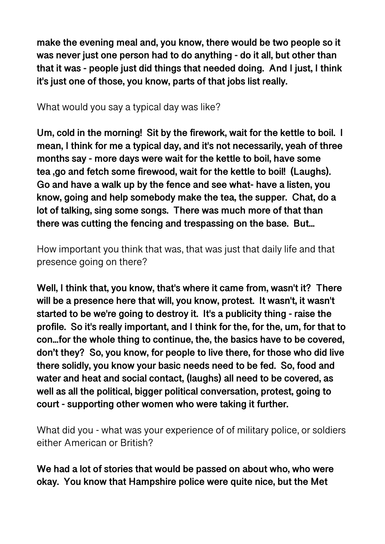**make the evening meal and, you know, there would be two people so it was never just one person had to do anything - do it all, but other than that it was - people just did things that needed doing. And I just, I think it's just one of those, you know, parts of that jobs list really.** 

What would you say a typical day was like?

**Um, cold in the morning! Sit by the firework, wait for the kettle to boil. I mean, I think for me a typical day, and it's not necessarily, yeah of three months say - more days were wait for the kettle to boil, have some tea ,go and fetch some firewood, wait for the kettle to boil! (Laughs). Go and have a walk up by the fence and see what- have a listen, you know, going and help somebody make the tea, the supper. Chat, do a lot of talking, sing some songs. There was much more of that than there was cutting the fencing and trespassing on the base. But...** 

How important you think that was, that was just that daily life and that presence going on there?

**Well, I think that, you know, that's where it came from, wasn't it? There will be a presence here that will, you know, protest. It wasn't, it wasn't started to be we're going to destroy it. It's a publicity thing - raise the profile. So it's really important, and I think for the, for the, um, for that to con...for the whole thing to continue, the, the basics have to be covered, don't they? So, you know, for people to live there, for those who did live there solidly, you know your basic needs need to be fed. So, food and water and heat and social contact, (laughs) all need to be covered, as well as all the political, bigger political conversation, protest, going to court - supporting other women who were taking it further.** 

What did you - what was your experience of of military police, or soldiers either American or British?

**We had a lot of stories that would be passed on about who, who were okay. You know that Hampshire police were quite nice, but the Met**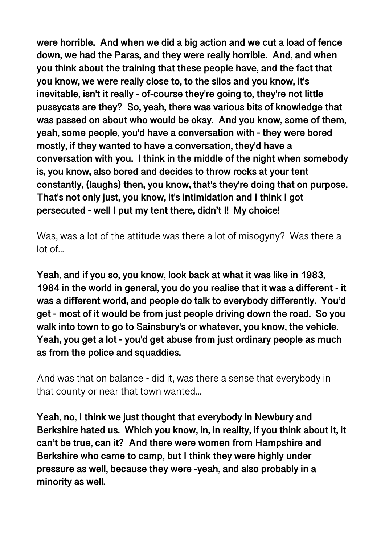**were horrible. And when we did a big action and we cut a load of fence down, we had the Paras, and they were really horrible. And, and when you think about the training that these people have, and the fact that you know, we were really close to, to the silos and you know, it's inevitable, isn't it really - of-course they're going to, they're not little pussycats are they? So, yeah, there was various bits of knowledge that was passed on about who would be okay. And you know, some of them, yeah, some people, you'd have a conversation with - they were bored mostly, if they wanted to have a conversation, they'd have a conversation with you. I think in the middle of the night when somebody is, you know, also bored and decides to throw rocks at your tent constantly, (laughs) then, you know, that's they're doing that on purpose. That's not only just, you know, it's intimidation and I think I got persecuted - well I put my tent there, didn't I! My choice!** 

Was, was a lot of the attitude was there a lot of misogyny? Was there a lot of...

**Yeah, and if you so, you know, look back at what it was like in 1983, 1984 in the world in general, you do you realise that it was a different - it was a different world, and people do talk to everybody differently. You'd get - most of it would be from just people driving down the road. So you walk into town to go to Sainsbury's or whatever, you know, the vehicle. Yeah, you get a lot - you'd get abuse from just ordinary people as much as from the police and squaddies.** 

And was that on balance - did it, was there a sense that everybody in that county or near that town wanted...

**Yeah, no, I think we just thought that everybody in Newbury and Berkshire hated us. Which you know, in, in reality, if you think about it, it can't be true, can it? And there were women from Hampshire and Berkshire who came to camp, but I think they were highly under pressure as well, because they were -yeah, and also probably in a minority as well.**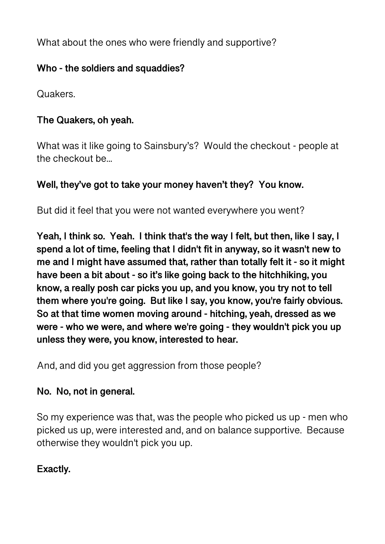What about the ones who were friendly and supportive?

# **Who - the soldiers and squaddies?**

Quakers.

# **The Quakers, oh yeah.**

What was it like going to Sainsbury's? Would the checkout - people at the checkout be...

# **Well, they've got to take your money haven't they? You know.**

But did it feel that you were not wanted everywhere you went?

**Yeah, I think so. Yeah. I think that's the way I felt, but then, like I say, I spend a lot of time, feeling that I didn't fit in anyway, so it wasn't new to me and I might have assumed that, rather than totally felt it - so it might have been a bit about - so it's like going back to the hitchhiking, you know, a really posh car picks you up, and you know, you try not to tell them where you're going. But like I say, you know, you're fairly obvious. So at that time women moving around - hitching, yeah, dressed as we were - who we were, and where we're going - they wouldn't pick you up unless they were, you know, interested to hear.** 

And, and did you get aggression from those people?

## **No. No, not in general.**

So my experience was that, was the people who picked us up - men who picked us up, were interested and, and on balance supportive. Because otherwise they wouldn't pick you up.

# **Exactly.**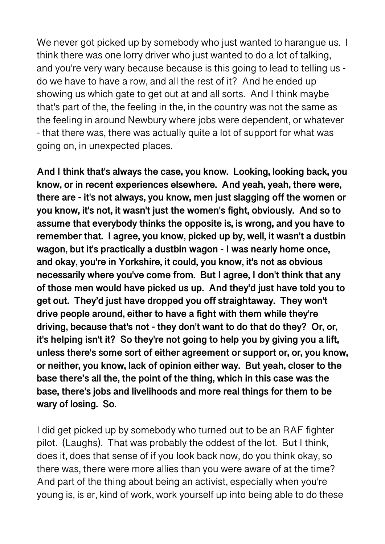We never got picked up by somebody who just wanted to harangue us. I think there was one lorry driver who just wanted to do a lot of talking, and you're very wary because because is this going to lead to telling us do we have to have a row, and all the rest of it? And he ended up showing us which gate to get out at and all sorts. And I think maybe that's part of the, the feeling in the, in the country was not the same as the feeling in around Newbury where jobs were dependent, or whatever - that there was, there was actually quite a lot of support for what was going on, in unexpected places.

**And I think that's always the case, you know. Looking, looking back, you know, or in recent experiences elsewhere. And yeah, yeah, there were, there are - it's not always, you know, men just slagging off the women or you know, it's not, it wasn't just the women's fight, obviously. And so to assume that everybody thinks the opposite is, is wrong, and you have to remember that. I agree, you know, picked up by, well, it wasn't a dustbin wagon, but it's practically a dustbin wagon - I was nearly home once, and okay, you're in Yorkshire, it could, you know, it's not as obvious necessarily where you've come from. But I agree, I don't think that any of those men would have picked us up. And they'd just have told you to get out. They'd just have dropped you off straightaway. They won't drive people around, either to have a fight with them while they're driving, because that's not - they don't want to do that do they? Or, or, it's helping isn't it? So they're not going to help you by giving you a lift, unless there's some sort of either agreement or support or, or, you know, or neither, you know, lack of opinion either way. But yeah, closer to the base there's all the, the point of the thing, which in this case was the base, there's jobs and livelihoods and more real things for them to be wary of losing. So.** 

I did get picked up by somebody who turned out to be an RAF fighter pilot. (Laughs). That was probably the oddest of the lot. But I think, does it, does that sense of if you look back now, do you think okay, so there was, there were more allies than you were aware of at the time? And part of the thing about being an activist, especially when you're young is, is er, kind of work, work yourself up into being able to do these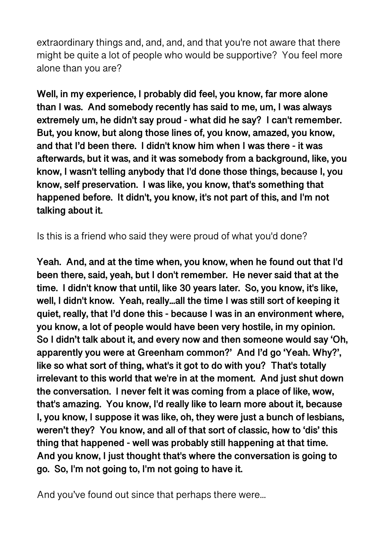extraordinary things and, and, and, and that you're not aware that there might be quite a lot of people who would be supportive? You feel more alone than you are?

**Well, in my experience, I probably did feel, you know, far more alone than I was. And somebody recently has said to me, um, I was always extremely um, he didn't say proud - what did he say? I can't remember. But, you know, but along those lines of, you know, amazed, you know, and that I'd been there. I didn't know him when I was there - it was afterwards, but it was, and it was somebody from a background, like, you know, I wasn't telling anybody that I'd done those things, because I, you know, self preservation. I was like, you know, that's something that happened before. It didn't, you know, it's not part of this, and I'm not talking about it.** 

Is this is a friend who said they were proud of what you'd done?

**Yeah. And, and at the time when, you know, when he found out that I'd been there, said, yeah, but I don't remember. He never said that at the time. I didn't know that until, like 30 years later. So, you know, it's like, well, I didn't know. Yeah, really...all the time I was still sort of keeping it quiet, really, that I'd done this - because I was in an environment where, you know, a lot of people would have been very hostile, in my opinion. So I didn't talk about it, and every now and then someone would say 'Oh, apparently you were at Greenham common?' And I'd go 'Yeah. Why?', like so what sort of thing, what's it got to do with you? That's totally irrelevant to this world that we're in at the moment. And just shut down the conversation. I never felt it was coming from a place of like, wow, that's amazing. You know, I'd really like to learn more about it, because I, you know, I suppose it was like, oh, they were just a bunch of lesbians, weren't they? You know, and all of that sort of classic, how to 'dis' this thing that happened - well was probably still happening at that time. And you know, I just thought that's where the conversation is going to go. So, I'm not going to, I'm not going to have it.** 

And you've found out since that perhaps there were...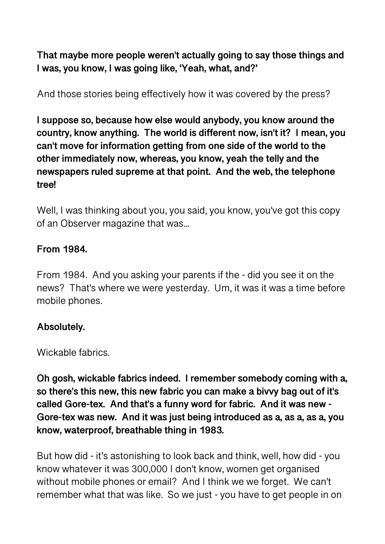**That maybe more people weren't actually going to say those things and I was, you know, I was going like, 'Yeah, what, and?'** 

And those stories being effectively how it was covered by the press?

**I suppose so, because how else would anybody, you know around the country, know anything. The world is different now, isn't it? I mean, you can't move for information getting from one side of the world to the other immediately now, whereas, you know, yeah the telly and the newspapers ruled supreme at that point. And the web, the telephone tree!** 

Well, I was thinking about you, you said, you know, you've got this copy of an Observer magazine that was...

### **From 1984.**

From 1984. And you asking your parents if the - did you see it on the news? That's where we were yesterday. Um, it was it was a time before mobile phones.

#### **Absolutely.**

Wickable fabrics.

**Oh gosh, wickable fabrics indeed. I remember somebody coming with a, so there's this new, this new fabric you can make a bivvy bag out of it's called Gore-tex. And that's a funny word for fabric. And it was new - Gore-tex was new. And it was just being introduced as a, as a, as a, you know, waterproof, breathable thing in 1983.** 

But how did - it's astonishing to look back and think, well, how did - you know whatever it was 300,000 I don't know, women get organised without mobile phones or email? And I think we we forget. We can't remember what that was like. So we just - you have to get people in on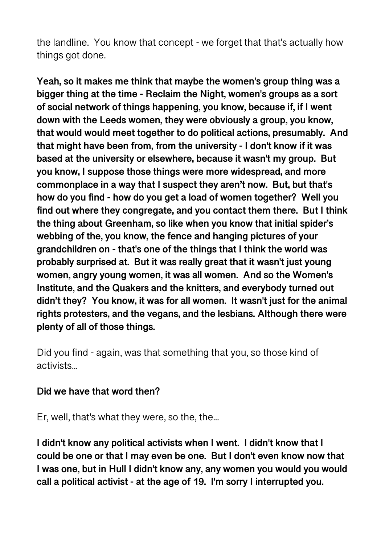the landline. You know that concept - we forget that that's actually how things got done.

**Yeah, so it makes me think that maybe the women's group thing was a bigger thing at the time - Reclaim the Night, women's groups as a sort of social network of things happening, you know, because if, if I went down with the Leeds women, they were obviously a group, you know, that would would meet together to do political actions, presumably. And that might have been from, from the university - I don't know if it was based at the university or elsewhere, because it wasn't my group. But you know, I suppose those things were more widespread, and more commonplace in a way that I suspect they aren't now. But, but that's how do you find - how do you get a load of women together? Well you find out where they congregate, and you contact them there. But I think the thing about Greenham, so like when you know that initial spider's webbing of the, you know, the fence and hanging pictures of your grandchildren on - that's one of the things that I think the world was probably surprised at. But it was really great that it wasn't just young women, angry young women, it was all women. And so the Women's Institute, and the Quakers and the knitters, and everybody turned out didn't they? You know, it was for all women. It wasn't just for the animal rights protesters, and the vegans, and the lesbians. Although there were plenty of all of those things.** 

Did you find - again, was that something that you, so those kind of activists...

#### **Did we have that word then?**

Er, well, that's what they were, so the, the...

**I didn't know any political activists when I went. I didn't know that I could be one or that I may even be one. But I don't even know now that I was one, but in Hull I didn't know any, any women you would you would call a political activist - at the age of 19. I'm sorry I interrupted you.**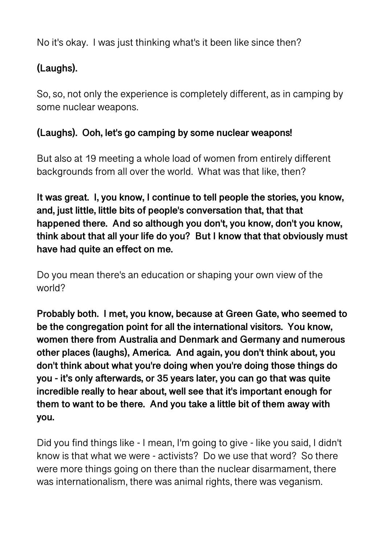No it's okay. I was just thinking what's it been like since then?

# **(Laughs).**

So, so, not only the experience is completely different, as in camping by some nuclear weapons.

# **(Laughs). Ooh, let's go camping by some nuclear weapons!**

But also at 19 meeting a whole load of women from entirely different backgrounds from all over the world. What was that like, then?

**It was great. I, you know, I continue to tell people the stories, you know, and, just little, little bits of people's conversation that, that that happened there. And so although you don't, you know, don't you know, think about that all your life do you? But I know that that obviously must have had quite an effect on me.** 

Do you mean there's an education or shaping your own view of the world?

**Probably both. I met, you know, because at Green Gate, who seemed to be the congregation point for all the international visitors. You know, women there from Australia and Denmark and Germany and numerous other places (laughs), America. And again, you don't think about, you don't think about what you're doing when you're doing those things do you - it's only afterwards, or 35 years later, you can go that was quite incredible really to hear about, well see that it's important enough for them to want to be there. And you take a little bit of them away with you.** 

Did you find things like - I mean, I'm going to give - like you said, I didn't know is that what we were - activists? Do we use that word? So there were more things going on there than the nuclear disarmament, there was internationalism, there was animal rights, there was veganism.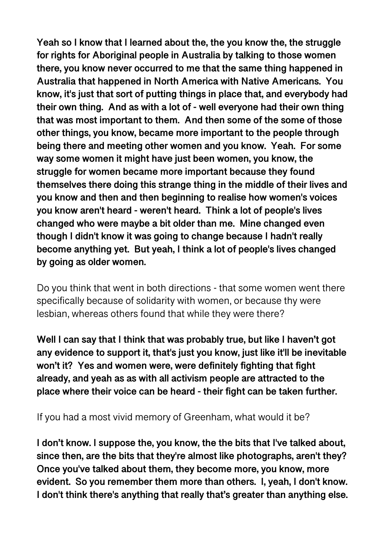**Yeah so I know that I learned about the, the you know the, the struggle for rights for Aboriginal people in Australia by talking to those women there, you know never occurred to me that the same thing happened in Australia that happened in North America with Native Americans. You know, it's just that sort of putting things in place that, and everybody had their own thing. And as with a lot of - well everyone had their own thing that was most important to them. And then some of the some of those other things, you know, became more important to the people through being there and meeting other women and you know. Yeah. For some way some women it might have just been women, you know, the struggle for women became more important because they found themselves there doing this strange thing in the middle of their lives and you know and then and then beginning to realise how women's voices you know aren't heard - weren't heard. Think a lot of people's lives changed who were maybe a bit older than me. Mine changed even though I didn't know it was going to change because I hadn't really become anything yet. But yeah, I think a lot of people's lives changed by going as older women.** 

Do you think that went in both directions - that some women went there specifically because of solidarity with women, or because thy were lesbian, whereas others found that while they were there?

**Well I can say that I think that was probably true, but like I haven't got any evidence to support it, that's just you know, just like it'll be inevitable won't it? Yes and women were, were definitely fighting that fight already, and yeah as as with all activism people are attracted to the place where their voice can be heard - their fight can be taken further.** 

If you had a most vivid memory of Greenham, what would it be?

**I don't know. I suppose the, you know, the the bits that I've talked about, since then, are the bits that they're almost like photographs, aren't they? Once you've talked about them, they become more, you know, more evident. So you remember them more than others. I, yeah, I don't know. I don't think there's anything that really that's greater than anything else.**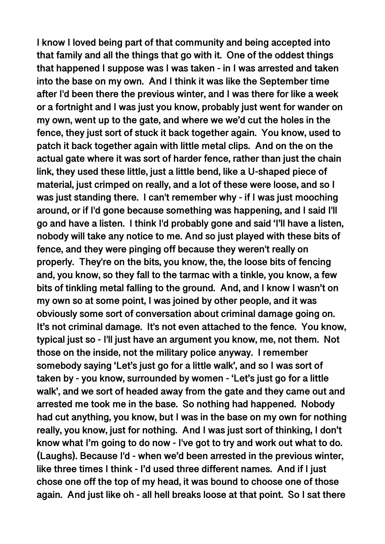**I know I loved being part of that community and being accepted into that family and all the things that go with it. One of the oddest things that happened I suppose was I was taken - in I was arrested and taken into the base on my own. And I think it was like the September time after I'd been there the previous winter, and I was there for like a week or a fortnight and I was just you know, probably just went for wander on my own, went up to the gate, and where we we'd cut the holes in the fence, they just sort of stuck it back together again. You know, used to patch it back together again with little metal clips. And on the on the actual gate where it was sort of harder fence, rather than just the chain link, they used these little, just a little bend, like a U-shaped piece of material, just crimped on really, and a lot of these were loose, and so I was just standing there. I can't remember why - if I was just mooching around, or if I'd gone because something was happening, and I said I'll go and have a listen. I think I'd probably gone and said 'I'll have a listen, nobody will take any notice to me. And so just played with these bits of fence, and they were pinging off because they weren't really on properly. They're on the bits, you know, the, the loose bits of fencing and, you know, so they fall to the tarmac with a tinkle, you know, a few bits of tinkling metal falling to the ground. And, and I know I wasn't on my own so at some point, I was joined by other people, and it was obviously some sort of conversation about criminal damage going on. It's not criminal damage. It's not even attached to the fence. You know, typical just so - I'll just have an argument you know, me, not them. Not those on the inside, not the military police anyway. I remember somebody saying 'Let's just go for a little walk', and so I was sort of taken by - you know, surrounded by women - 'Let's just go for a little walk', and we sort of headed away from the gate and they came out and arrested me took me in the base. So nothing had happened. Nobody had cut anything, you know, but I was in the base on my own for nothing really, you know, just for nothing. And I was just sort of thinking, I don't know what I'm going to do now - I've got to try and work out what to do. (Laughs). Because I'd - when we'd been arrested in the previous winter, like three times I think - I'd used three different names. And if I just chose one off the top of my head, it was bound to choose one of those again. And just like oh - all hell breaks loose at that point. So I sat there**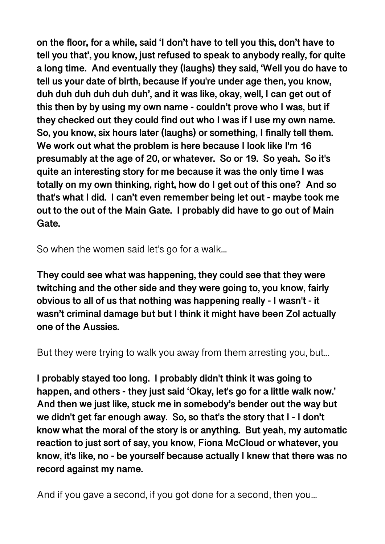**on the floor, for a while, said 'I don't have to tell you this, don't have to tell you that', you know, just refused to speak to anybody really, for quite a long time. And eventually they (laughs) they said, 'Well you do have to tell us your date of birth, because if you're under age then, you know, duh duh duh duh duh duh', and it was like, okay, well, I can get out of this then by by using my own name - couldn't prove who I was, but if they checked out they could find out who I was if I use my own name. So, you know, six hours later (laughs) or something, I finally tell them. We work out what the problem is here because I look like I'm 16 presumably at the age of 20, or whatever. So or 19. So yeah. So it's quite an interesting story for me because it was the only time I was totally on my own thinking, right, how do I get out of this one? And so that's what I did. I can't even remember being let out - maybe took me out to the out of the Main Gate. I probably did have to go out of Main Gate.** 

So when the women said let's go for a walk...

**They could see what was happening, they could see that they were twitching and the other side and they were going to, you know, fairly obvious to all of us that nothing was happening really - I wasn't - it wasn't criminal damage but but I think it might have been Zol actually one of the Aussies.** 

But they were trying to walk you away from them arresting you, but...

**I probably stayed too long. I probably didn't think it was going to happen, and others - they just said 'Okay, let's go for a little walk now.' And then we just like, stuck me in somebody's bender out the way but we didn't get far enough away. So, so that's the story that I - I don't know what the moral of the story is or anything. But yeah, my automatic reaction to just sort of say, you know, Fiona McCloud or whatever, you know, it's like, no - be yourself because actually I knew that there was no record against my name.** 

And if you gave a second, if you got done for a second, then you...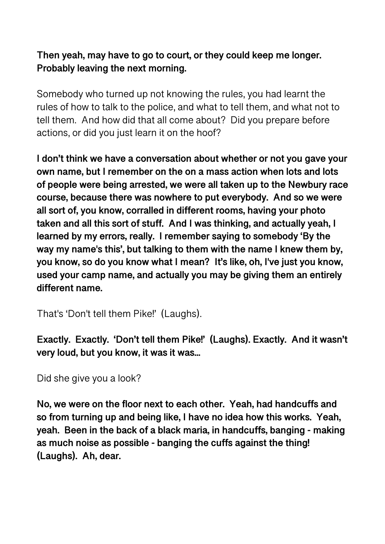## **Then yeah, may have to go to court, or they could keep me longer. Probably leaving the next morning.**

Somebody who turned up not knowing the rules, you had learnt the rules of how to talk to the police, and what to tell them, and what not to tell them. And how did that all come about? Did you prepare before actions, or did you just learn it on the hoof?

**I don't think we have a conversation about whether or not you gave your own name, but I remember on the on a mass action when lots and lots of people were being arrested, we were all taken up to the Newbury race course, because there was nowhere to put everybody. And so we were all sort of, you know, corralled in different rooms, having your photo taken and all this sort of stuff. And I was thinking, and actually yeah, I learned by my errors, really. I remember saying to somebody 'By the way my name's this', but talking to them with the name I knew them by, you know, so do you know what I mean? It's like, oh, I've just you know, used your camp name, and actually you may be giving them an entirely different name.** 

That's 'Don't tell them Pike!' (Laughs).

**Exactly. Exactly. 'Don't tell them Pike!' (Laughs). Exactly. And it wasn't**  very loud, but you know, it was it was...

Did she give you a look?

**No, we were on the floor next to each other. Yeah, had handcuffs and so from turning up and being like, I have no idea how this works. Yeah, yeah. Been in the back of a black maria, in handcuffs, banging - making as much noise as possible - banging the cuffs against the thing! (Laughs). Ah, dear.**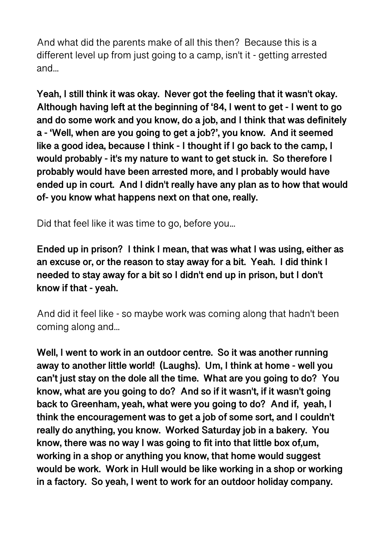And what did the parents make of all this then? Because this is a different level up from just going to a camp, isn't it - getting arrested and...

**Yeah, I still think it was okay. Never got the feeling that it wasn't okay. Although having left at the beginning of '84, I went to get - I went to go and do some work and you know, do a job, and I think that was definitely a - 'Well, when are you going to get a job?', you know. And it seemed like a good idea, because I think - I thought if I go back to the camp, I would probably - it's my nature to want to get stuck in. So therefore I probably would have been arrested more, and I probably would have ended up in court. And I didn't really have any plan as to how that would of- you know what happens next on that one, really.** 

Did that feel like it was time to go, before you...

**Ended up in prison? I think I mean, that was what I was using, either as an excuse or, or the reason to stay away for a bit. Yeah. I did think I needed to stay away for a bit so I didn't end up in prison, but I don't know if that - yeah.** 

And did it feel like - so maybe work was coming along that hadn't been coming along and...

**Well, I went to work in an outdoor centre. So it was another running away to another little world! (Laughs). Um, I think at home - well you can't just stay on the dole all the time. What are you going to do? You know, what are you going to do? And so if it wasn't, if it wasn't going back to Greenham, yeah, what were you going to do? And if, yeah, I think the encouragement was to get a job of some sort, and I couldn't really do anything, you know. Worked Saturday job in a bakery. You know, there was no way I was going to fit into that little box of,um, working in a shop or anything you know, that home would suggest would be work. Work in Hull would be like working in a shop or working in a factory. So yeah, I went to work for an outdoor holiday company.**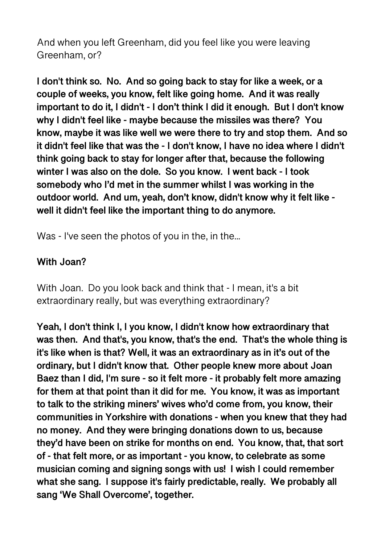And when you left Greenham, did you feel like you were leaving Greenham, or?

**I don't think so. No. And so going back to stay for like a week, or a couple of weeks, you know, felt like going home. And it was really important to do it, I didn't - I don't think I did it enough. But I don't know why I didn't feel like - maybe because the missiles was there? You know, maybe it was like well we were there to try and stop them. And so it didn't feel like that was the - I don't know, I have no idea where I didn't think going back to stay for longer after that, because the following winter I was also on the dole. So you know. I went back - I took somebody who I'd met in the summer whilst I was working in the outdoor world. And um, yeah, don't know, didn't know why it felt like well it didn't feel like the important thing to do anymore.** 

Was - I've seen the photos of you in the, in the...

#### **With Joan?**

With Joan. Do you look back and think that - I mean, it's a bit extraordinary really, but was everything extraordinary?

**Yeah, I don't think I, I you know, I didn't know how extraordinary that was then. And that's, you know, that's the end. That's the whole thing is it's like when is that? Well, it was an extraordinary as in it's out of the ordinary, but I didn't know that. Other people knew more about Joan Baez than I did, I'm sure - so it felt more - it probably felt more amazing for them at that point than it did for me. You know, it was as important to talk to the striking miners' wives who'd come from, you know, their communities in Yorkshire with donations - when you knew that they had no money. And they were bringing donations down to us, because they'd have been on strike for months on end. You know, that, that sort of - that felt more, or as important - you know, to celebrate as some musician coming and signing songs with us! I wish I could remember what she sang. I suppose it's fairly predictable, really. We probably all sang 'We Shall Overcome', together.**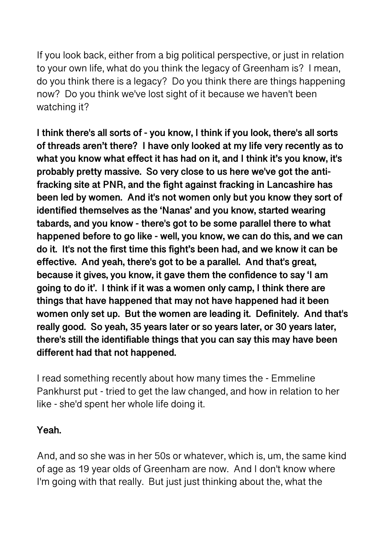If you look back, either from a big political perspective, or just in relation to your own life, what do you think the legacy of Greenham is? I mean, do you think there is a legacy? Do you think there are things happening now? Do you think we've lost sight of it because we haven't been watching it?

**I think there's all sorts of - you know, I think if you look, there's all sorts of threads aren't there? I have only looked at my life very recently as to what you know what effect it has had on it, and I think it's you know, it's probably pretty massive. So very close to us here we've got the antifracking site at PNR, and the fight against fracking in Lancashire has been led by women. And it's not women only but you know they sort of identified themselves as the 'Nanas' and you know, started wearing tabards, and you know - there's got to be some parallel there to what happened before to go like - well, you know, we can do this, and we can do it. It's not the first time this fight's been had, and we know it can be effective. And yeah, there's got to be a parallel. And that's great, because it gives, you know, it gave them the confidence to say 'I am going to do it'. I think if it was a women only camp, I think there are things that have happened that may not have happened had it been women only set up. But the women are leading it. Definitely. And that's really good. So yeah, 35 years later or so years later, or 30 years later, there's still the identifiable things that you can say this may have been different had that not happened.** 

I read something recently about how many times the - Emmeline Pankhurst put - tried to get the law changed, and how in relation to her like - she'd spent her whole life doing it.

## **Yeah.**

And, and so she was in her 50s or whatever, which is, um, the same kind of age as 19 year olds of Greenham are now. And I don't know where I'm going with that really. But just just thinking about the, what the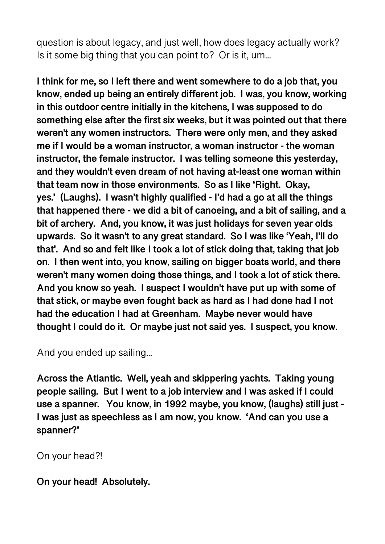question is about legacy, and just well, how does legacy actually work? Is it some big thing that you can point to? Or is it, um...

**I think for me, so I left there and went somewhere to do a job that, you know, ended up being an entirely different job. I was, you know, working in this outdoor centre initially in the kitchens, I was supposed to do something else after the first six weeks, but it was pointed out that there weren't any women instructors. There were only men, and they asked me if I would be a woman instructor, a woman instructor - the woman instructor, the female instructor. I was telling someone this yesterday, and they wouldn't even dream of not having at-least one woman within that team now in those environments. So as I like 'Right. Okay, yes.' (Laughs). I wasn't highly qualified - I'd had a go at all the things that happened there - we did a bit of canoeing, and a bit of sailing, and a bit of archery. And, you know, it was just holidays for seven year olds upwards. So it wasn't to any great standard. So I was like 'Yeah, I'll do that'. And so and felt like I took a lot of stick doing that, taking that job on. I then went into, you know, sailing on bigger boats world, and there weren't many women doing those things, and I took a lot of stick there. And you know so yeah. I suspect I wouldn't have put up with some of that stick, or maybe even fought back as hard as I had done had I not had the education I had at Greenham. Maybe never would have thought I could do it. Or maybe just not said yes. I suspect, you know.** 

And you ended up sailing...

**Across the Atlantic. Well, yeah and skippering yachts. Taking young people sailing. But I went to a job interview and I was asked if I could use a spanner. You know, in 1992 maybe, you know, (laughs) still just - I was just as speechless as I am now, you know. 'And can you use a spanner?'** 

On your head?!

**On your head! Absolutely.**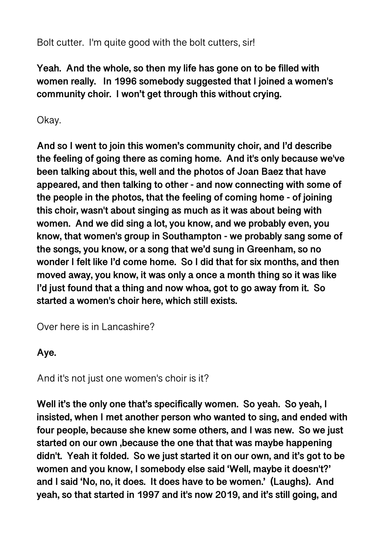Bolt cutter. I'm quite good with the bolt cutters, sir!

**Yeah. And the whole, so then my life has gone on to be filled with women really. In 1996 somebody suggested that I joined a women's community choir. I won't get through this without crying.** 

# Okay.

**And so I went to join this women's community choir, and I'd describe the feeling of going there as coming home. And it's only because we've been talking about this, well and the photos of Joan Baez that have appeared, and then talking to other - and now connecting with some of the people in the photos, that the feeling of coming home - of joining this choir, wasn't about singing as much as it was about being with women. And we did sing a lot, you know, and we probably even, you know, that women's group in Southampton - we probably sang some of the songs, you know, or a song that we'd sung in Greenham, so no wonder I felt like I'd come home. So I did that for six months, and then moved away, you know, it was only a once a month thing so it was like I'd just found that a thing and now whoa, got to go away from it. So started a women's choir here, which still exists.** 

Over here is in Lancashire?

## **Aye.**

And it's not just one women's choir is it?

**Well it's the only one that's specifically women. So yeah. So yeah, I insisted, when I met another person who wanted to sing, and ended with four people, because she knew some others, and I was new. So we just started on our own ,because the one that that was maybe happening didn't. Yeah it folded. So we just started it on our own, and it's got to be women and you know, I somebody else said 'Well, maybe it doesn't?' and I said 'No, no, it does. It does have to be women.' (Laughs). And yeah, so that started in 1997 and it's now 2019, and it's still going, and**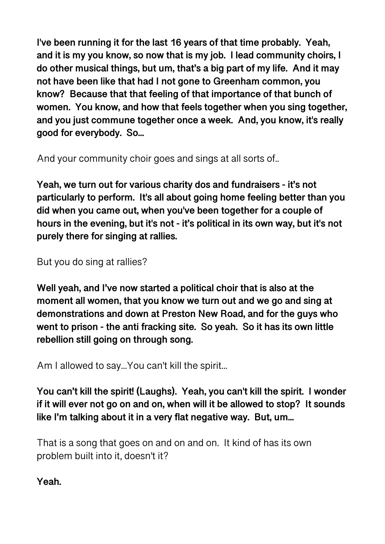**I've been running it for the last 16 years of that time probably. Yeah, and it is my you know, so now that is my job. I lead community choirs, I do other musical things, but um, that's a big part of my life. And it may not have been like that had I not gone to Greenham common, you know? Because that that feeling of that importance of that bunch of women. You know, and how that feels together when you sing together, and you just commune together once a week. And, you know, it's really good for everybody. So...** 

And your community choir goes and sings at all sorts of..

**Yeah, we turn out for various charity dos and fundraisers - it's not particularly to perform. It's all about going home feeling better than you did when you came out, when you've been together for a couple of hours in the evening, but it's not - it's political in its own way, but it's not purely there for singing at rallies.** 

But you do sing at rallies?

**Well yeah, and I've now started a political choir that is also at the moment all women, that you know we turn out and we go and sing at demonstrations and down at Preston New Road, and for the guys who went to prison - the anti fracking site. So yeah. So it has its own little rebellion still going on through song.** 

Am I allowed to say...You can't kill the spirit...

**You can't kill the spirit! (Laughs). Yeah, you can't kill the spirit. I wonder if it will ever not go on and on, when will it be allowed to stop? It sounds like I'm talking about it in a very flat negative way. But, um...** 

That is a song that goes on and on and on. It kind of has its own problem built into it, doesn't it?

**Yeah.**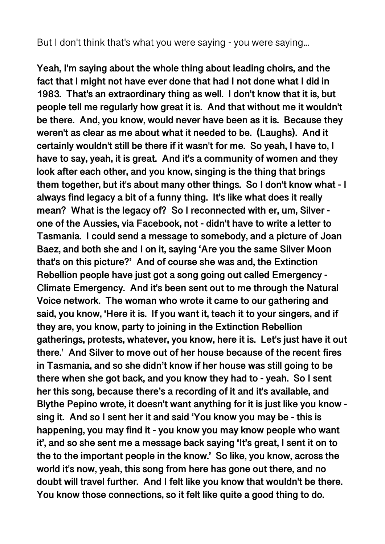But I don't think that's what you were saying - you were saying...

**Yeah, I'm saying about the whole thing about leading choirs, and the fact that I might not have ever done that had I not done what I did in 1983. That's an extraordinary thing as well. I don't know that it is, but people tell me regularly how great it is. And that without me it wouldn't be there. And, you know, would never have been as it is. Because they weren't as clear as me about what it needed to be. (Laughs). And it certainly wouldn't still be there if it wasn't for me. So yeah, I have to, I have to say, yeah, it is great. And it's a community of women and they look after each other, and you know, singing is the thing that brings them together, but it's about many other things. So I don't know what - I always find legacy a bit of a funny thing. It's like what does it really mean? What is the legacy of? So I reconnected with er, um, Silver one of the Aussies, via Facebook, not - didn't have to write a letter to Tasmania. I could send a message to somebody, and a picture of Joan Baez, and both she and I on it, saying 'Are you the same Silver Moon that's on this picture?' And of course she was and, the Extinction Rebellion people have just got a song going out called Emergency - Climate Emergency. And it's been sent out to me through the Natural Voice network. The woman who wrote it came to our gathering and said, you know, 'Here it is. If you want it, teach it to your singers, and if they are, you know, party to joining in the Extinction Rebellion gatherings, protests, whatever, you know, here it is. Let's just have it out there.' And Silver to move out of her house because of the recent fires in Tasmania, and so she didn't know if her house was still going to be there when she got back, and you know they had to - yeah. So I sent her this song, because there's a recording of it and it's available, and Blythe Pepino wrote, it doesn't want anything for it is just like you know sing it. And so I sent her it and said 'You know you may be - this is happening, you may find it - you know you may know people who want it', and so she sent me a message back saying 'It's great, I sent it on to the to the important people in the know.' So like, you know, across the world it's now, yeah, this song from here has gone out there, and no doubt will travel further. And I felt like you know that wouldn't be there. You know those connections, so it felt like quite a good thing to do.**